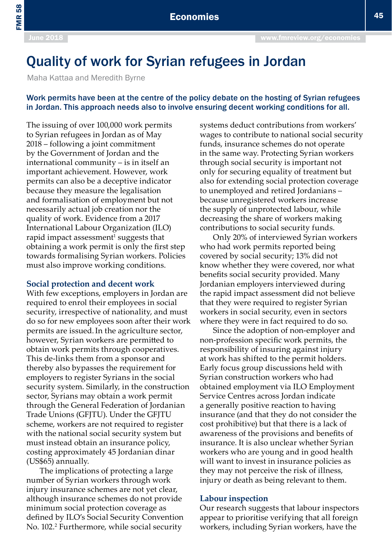FMR 58

# Quality of work for Syrian refugees in Jordan

Maha Kattaa and Meredith Byrne

#### Work permits have been at the centre of the policy debate on the hosting of Syrian refugees in Jordan. This approach needs also to involve ensuring decent working conditions for all.

The issuing of over 100,000 work permits to Syrian refugees in Jordan as of May 2018 – following a joint commitment by the Government of Jordan and the international community – is in itself an important achievement. However, work permits can also be a deceptive indicator because they measure the legalisation and formalisation of employment but not necessarily actual job creation nor the quality of work. Evidence from a 2017 International Labour Organization (ILO) rapid impact assessment<sup>1</sup> suggests that obtaining a work permit is only the first step towards formalising Syrian workers. Policies must also improve working conditions.

#### **Social protection and decent work**

With few exceptions, employers in Jordan are required to enrol their employees in social security, irrespective of nationality, and must do so for new employees soon after their work permits are issued.In the agriculture sector, however, Syrian workers are permitted to obtain work permits through cooperatives. This de-links them from a sponsor and thereby also bypasses the requirement for employers to register Syrians in the social security system. Similarly, in the construction sector, Syrians may obtain a work permit through the General Federation of Jordanian Trade Unions (GFJTU). Under the GFJTU scheme, workers are not required to register with the national social security system but must instead obtain an insurance policy, costing approximately 45 Jordanian dinar (US\$65) annually.

The implications of protecting a large number of Syrian workers through work injury insurance schemes are not yet clear, although insurance schemes do not provide minimum social protection coverage as defined by ILO's Social Security Convention No. 102.2 Furthermore, while social security

systems deduct contributions from workers' wages to contribute to national social security funds, insurance schemes do not operate in the same way. Protecting Syrian workers through social security is important not only for securing equality of treatment but also for extending social protection coverage to unemployed and retired Jordanians – because unregistered workers increase the supply of unprotected labour, while decreasing the share of workers making contributions to social security funds.

Only 20% of interviewed Syrian workers who had work permits reported being covered by social security; 13% did not know whether they were covered, nor what benefits social security provided. Many Jordanian employers interviewed during the rapid impact assessment did not believe that they were required to register Syrian workers in social security, even in sectors where they were in fact required to do so.

Since the adoption of non-employer and non-profession specific work permits, the responsibility of insuring against injury at work has shifted to the permit holders. Early focus group discussions held with Syrian construction workers who had obtained employment via ILO Employment Service Centres across Jordan indicate a generally positive reaction to having insurance (and that they do not consider the cost prohibitive) but that there is a lack of awareness of the provisions and benefits of insurance. It is also unclear whether Syrian workers who are young and in good health will want to invest in insurance policies as they may not perceive the risk of illness, injury or death as being relevant to them.

#### **Labour inspection**

Our research suggests that labour inspectors appear to prioritise verifying that all foreign workers, including Syrian workers, have the